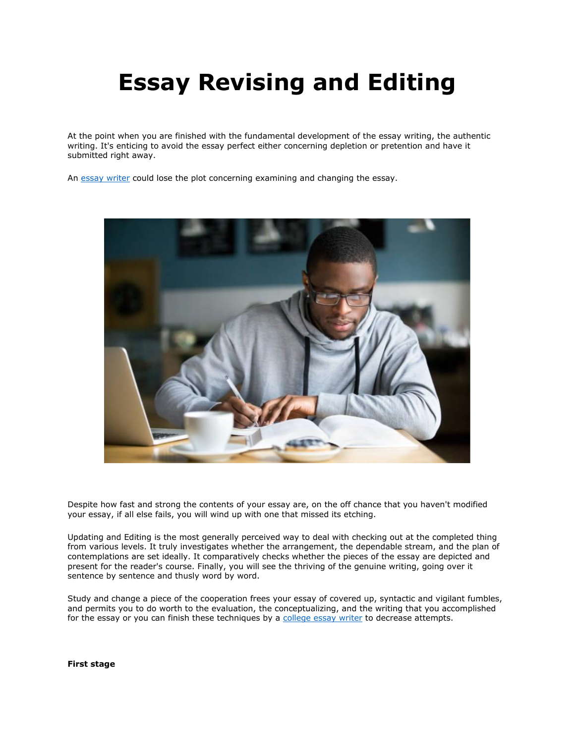# **Essay Revising and Editing**

At the point when you are finished with the fundamental development of the essay writing, the authentic writing. It's enticing to avoid the essay perfect either concerning depletion or pretention and have it submitted right away.

An [essay writer](https://essaywriternow.com/) could lose the plot concerning examining and changing the essay.



Despite how fast and strong the contents of your essay are, on the off chance that you haven't modified your essay, if all else fails, you will wind up with one that missed its etching.

Updating and Editing is the most generally perceived way to deal with checking out at the completed thing from various levels. It truly investigates whether the arrangement, the dependable stream, and the plan of contemplations are set ideally. It comparatively checks whether the pieces of the essay are depicted and present for the reader's course. Finally, you will see the thriving of the genuine writing, going over it sentence by sentence and thusly word by word.

Study and change a piece of the cooperation frees your essay of covered up, syntactic and vigilant fumbles, and permits you to do worth to the evaluation, the conceptualizing, and the writing that you accomplished for the essay or you can finish these techniques by a [college essay writer](https://essaywriternow.com/) to decrease attempts.

**First stage**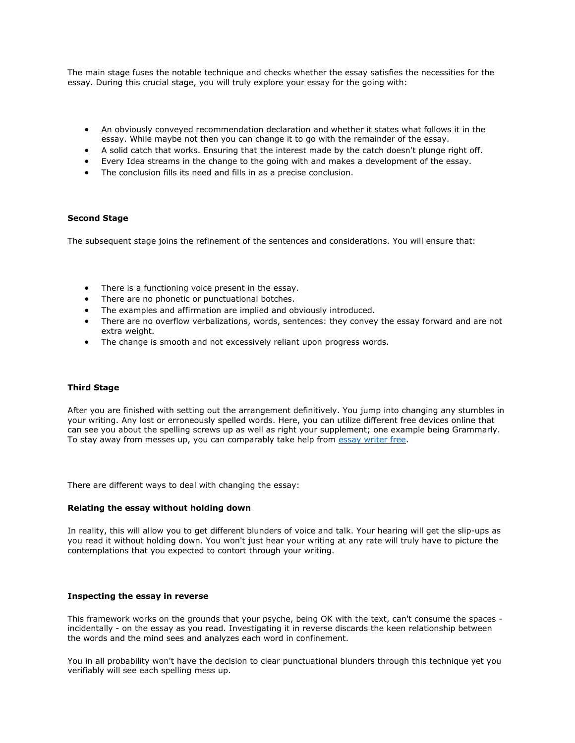The main stage fuses the notable technique and checks whether the essay satisfies the necessities for the essay. During this crucial stage, you will truly explore your essay for the going with:

- An obviously conveyed recommendation declaration and whether it states what follows it in the essay. While maybe not then you can change it to go with the remainder of the essay.
- A solid catch that works. Ensuring that the interest made by the catch doesn't plunge right off.
- Every Idea streams in the change to the going with and makes a development of the essay.
- The conclusion fills its need and fills in as a precise conclusion.

### **Second Stage**

The subsequent stage joins the refinement of the sentences and considerations. You will ensure that:

- There is a functioning voice present in the essay.
- There are no phonetic or punctuational botches.
- The examples and affirmation are implied and obviously introduced.
- There are no overflow verbalizations, words, sentences: they convey the essay forward and are not extra weight.
- The change is smooth and not excessively reliant upon progress words.

#### **Third Stage**

After you are finished with setting out the arrangement definitively. You jump into changing any stumbles in your writing. Any lost or erroneously spelled words. Here, you can utilize different free devices online that can see you about the spelling screws up as well as right your supplement; one example being Grammarly. To stay away from messes up, you can comparably take help from [essay writer free.](https://essaywriternow.com/)

There are different ways to deal with changing the essay:

#### **Relating the essay without holding down**

In reality, this will allow you to get different blunders of voice and talk. Your hearing will get the slip-ups as you read it without holding down. You won't just hear your writing at any rate will truly have to picture the contemplations that you expected to contort through your writing.

#### **Inspecting the essay in reverse**

This framework works on the grounds that your psyche, being OK with the text, can't consume the spaces incidentally - on the essay as you read. Investigating it in reverse discards the keen relationship between the words and the mind sees and analyzes each word in confinement.

You in all probability won't have the decision to clear punctuational blunders through this technique yet you verifiably will see each spelling mess up.